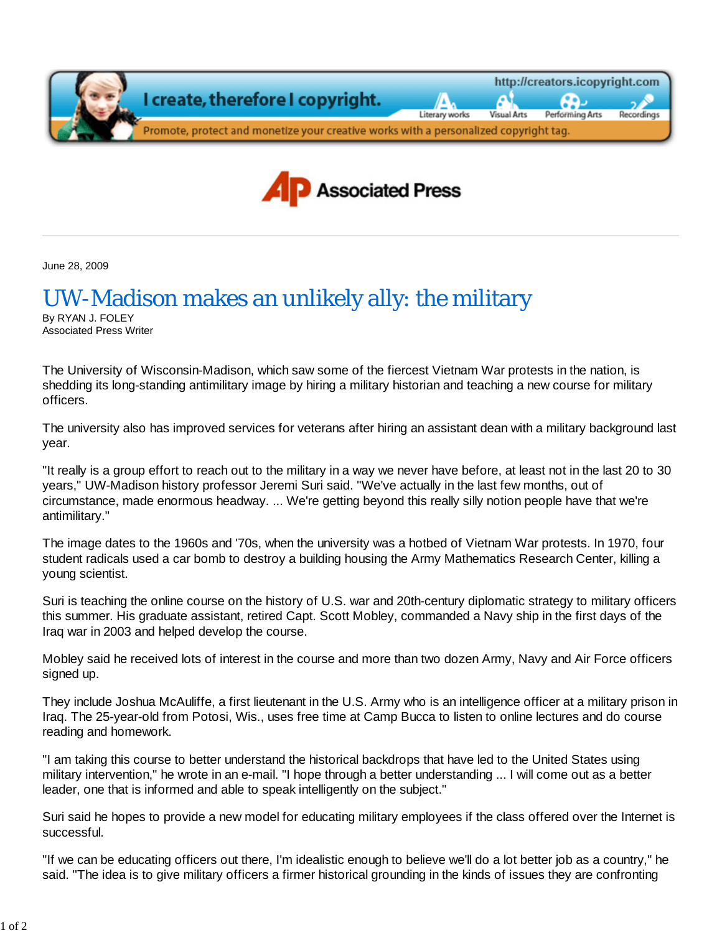

June 28, 2009

## UW-Madison makes an unlikely ally: the military

By RYAN J. FOLEY Associated Press Writer

The University of Wisconsin-Madison, which saw some of the fiercest Vietnam War protests in the nation, is shedding its long-standing antimilitary image by hiring a military historian and teaching a new course for military officers.

The university also has improved services for veterans after hiring an assistant dean with a military background last year.

"It really is a group effort to reach out to the military in a way we never have before, at least not in the last 20 to 30 years," UW-Madison history professor Jeremi Suri said. "We've actually in the last few months, out of circumstance, made enormous headway. ... We're getting beyond this really silly notion people have that we're antimilitary."

The image dates to the 1960s and '70s, when the university was a hotbed of Vietnam War protests. In 1970, four student radicals used a car bomb to destroy a building housing the Army Mathematics Research Center, killing a young scientist.

Suri is teaching the online course on the history of U.S. war and 20th-century diplomatic strategy to military officers this summer. His graduate assistant, retired Capt. Scott Mobley, commanded a Navy ship in the first days of the Iraq war in 2003 and helped develop the course.

Mobley said he received lots of interest in the course and more than two dozen Army, Navy and Air Force officers signed up.

They include Joshua McAuliffe, a first lieutenant in the U.S. Army who is an intelligence officer at a military prison in Iraq. The 25-year-old from Potosi, Wis., uses free time at Camp Bucca to listen to online lectures and do course reading and homework.

"I am taking this course to better understand the historical backdrops that have led to the United States using military intervention," he wrote in an e-mail. "I hope through a better understanding ... I will come out as a better leader, one that is informed and able to speak intelligently on the subject."

Suri said he hopes to provide a new model for educating military employees if the class offered over the Internet is successful.

"If we can be educating officers out there, I'm idealistic enough to believe we'll do a lot better job as a country," he said. "The idea is to give military officers a firmer historical grounding in the kinds of issues they are confronting